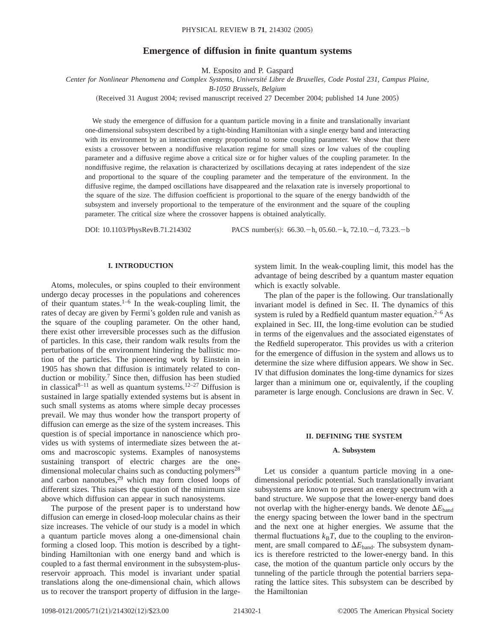# **Emergence of diffusion in finite quantum systems**

M. Esposito and P. Gaspard

*Center for Nonlinear Phenomena and Complex Systems, Université Libre de Bruxelles, Code Postal 231, Campus Plaine,*

*B-1050 Brussels, Belgium*

(Received 31 August 2004; revised manuscript received 27 December 2004; published 14 June 2005)

We study the emergence of diffusion for a quantum particle moving in a finite and translationally invariant one-dimensional subsystem described by a tight-binding Hamiltonian with a single energy band and interacting with its environment by an interaction energy proportional to some coupling parameter. We show that there exists a crossover between a nondiffusive relaxation regime for small sizes or low values of the coupling parameter and a diffusive regime above a critical size or for higher values of the coupling parameter. In the nondiffusive regime, the relaxation is characterized by oscillations decaying at rates independent of the size and proportional to the square of the coupling parameter and the temperature of the environment. In the diffusive regime, the damped oscillations have disappeared and the relaxation rate is inversely proportional to the square of the size. The diffusion coefficient is proportional to the square of the energy bandwidth of the subsystem and inversely proportional to the temperature of the environment and the square of the coupling parameter. The critical size where the crossover happens is obtained analytically.

DOI: 10.1103/PhysRevB.71.214302 PACS number(s): 66.30. - h, 05.60. - k, 72.10. - d, 73.23. - b

# **I. INTRODUCTION**

Atoms, molecules, or spins coupled to their environment undergo decay processes in the populations and coherences of their quantum states. $1-6$  In the weak-coupling limit, the rates of decay are given by Fermi's golden rule and vanish as the square of the coupling parameter. On the other hand, there exist other irreversible processes such as the diffusion of particles. In this case, their random walk results from the perturbations of the environment hindering the ballistic motion of the particles. The pioneering work by Einstein in 1905 has shown that diffusion is intimately related to conduction or mobility.<sup>7</sup> Since then, diffusion has been studied in classical<sup>8–11</sup> as well as quantum systems.<sup>12–27</sup> Diffusion is sustained in large spatially extended systems but is absent in such small systems as atoms where simple decay processes prevail. We may thus wonder how the transport property of diffusion can emerge as the size of the system increases. This question is of special importance in nanoscience which provides us with systems of intermediate sizes between the atoms and macroscopic systems. Examples of nanosystems sustaining transport of electric charges are the onedimensional molecular chains such as conducting polymers<sup>28</sup> and carbon nanotubes, $2^9$  which may form closed loops of different sizes. This raises the question of the minimum size above which diffusion can appear in such nanosystems.

The purpose of the present paper is to understand how diffusion can emerge in closed-loop molecular chains as their size increases. The vehicle of our study is a model in which a quantum particle moves along a one-dimensional chain forming a closed loop. This motion is described by a tightbinding Hamiltonian with one energy band and which is coupled to a fast thermal environment in the subsystem-plusreservoir approach. This model is invariant under spatial translations along the one-dimensional chain, which allows us to recover the transport property of diffusion in the largesystem limit. In the weak-coupling limit, this model has the advantage of being described by a quantum master equation which is exactly solvable.

The plan of the paper is the following. Our translationally invariant model is defined in Sec. II. The dynamics of this system is ruled by a Redfield quantum master equation.<sup>2–6</sup> As explained in Sec. III, the long-time evolution can be studied in terms of the eigenvalues and the associated eigenstates of the Redfield superoperator. This provides us with a criterion for the emergence of diffusion in the system and allows us to determine the size where diffusion appears. We show in Sec. IV that diffusion dominates the long-time dynamics for sizes larger than a minimum one or, equivalently, if the coupling parameter is large enough. Conclusions are drawn in Sec. V.

### **II. DEFINING THE SYSTEM**

## **A. Subsystem**

Let us consider a quantum particle moving in a onedimensional periodic potential. Such translationally invariant subsystems are known to present an energy spectrum with a band structure. We suppose that the lower-energy band does not overlap with the higher-energy bands. We denote  $\Delta E_{\text{band}}$ the energy spacing between the lower band in the spectrum and the next one at higher energies. We assume that the thermal fluctuations  $k_B T$ , due to the coupling to the environment, are small compared to  $\Delta E_{\text{band}}$ . The subsystem dynamics is therefore restricted to the lower-energy band. In this case, the motion of the quantum particle only occurs by the tunneling of the particle through the potential barriers separating the lattice sites. This subsystem can be described by the Hamiltonian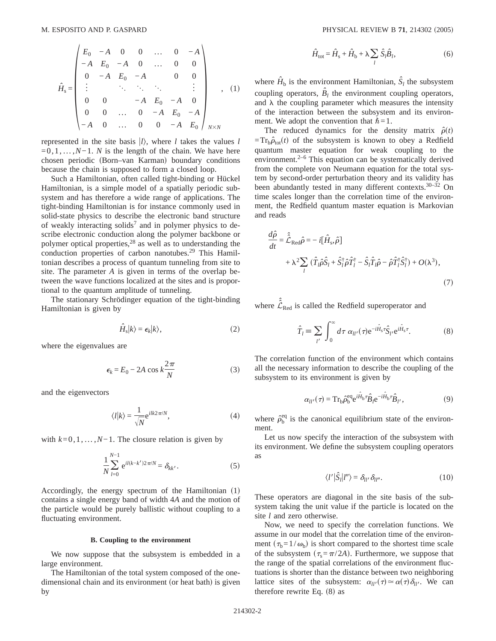$$
\hat{H}_{s} = \begin{pmatrix}\nE_{0} & -A & 0 & 0 & \dots & 0 & -A \\
-A & E_{0} & -A & 0 & \dots & 0 & 0 \\
0 & -A & E_{0} & -A & & 0 & 0 \\
\vdots & & \ddots & \ddots & \ddots & & \vdots \\
0 & 0 & & -A & E_{0} & -A & 0 \\
0 & 0 & \dots & 0 & -A & E_{0} & -A \\
-A & 0 & \dots & 0 & 0 & -A & E_{0}\n\end{pmatrix}_{N \times N},
$$
\n(1)

represented in the site basis  $|l\rangle$ , where *l* takes the values *l* =0,1,...,*N*−1. *N* is the length of the chain. We have here chosen periodic (Born–van Karman) boundary conditions because the chain is supposed to form a closed loop.

Such a Hamiltonian, often called tight-binding or Hückel Hamiltonian, is a simple model of a spatially periodic subsystem and has therefore a wide range of applications. The tight-binding Hamiltonian is for instance commonly used in solid-state physics to describe the electronic band structure of weakly interacting solids<sup>7</sup> and in polymer physics to describe electronic conduction along the polymer backbone or polymer optical properties,<sup>28</sup> as well as to understanding the conduction properties of carbon nanotubes.<sup>29</sup> This Hamiltonian describes a process of quantum tunneling from site to site. The parameter *A* is given in terms of the overlap between the wave functions localized at the sites and is proportional to the quantum amplitude of tunneling.

The stationary Schrödinger equation of the tight-binding Hamiltonian is given by

$$
\hat{H}_{\rm s}|k\rangle = \epsilon_k|k\rangle,\tag{2}
$$

where the eigenvalues are

$$
\epsilon_k = E_0 - 2A \cos k \frac{2\pi}{N} \tag{3}
$$

and the eigenvectors

$$
\langle l|k\rangle = \frac{1}{\sqrt{N}} e^{ilk2\pi/N},\tag{4}
$$

with *k*=0,1,...,*N*−1. The closure relation is given by

$$
\frac{1}{N} \sum_{l=0}^{N-1} e^{il(k-k')2\pi/N} = \delta_{kk'}.
$$
 (5)

Accordingly, the energy spectrum of the Hamiltonian  $(1)$ contains a single energy band of width 4*A* and the motion of the particle would be purely ballistic without coupling to a fluctuating environment.

#### **B. Coupling to the environment**

We now suppose that the subsystem is embedded in a large environment.

The Hamiltonian of the total system composed of the onedimensional chain and its environment (or heat bath) is given by

$$
\hat{H}_{\text{tot}} = \hat{H}_{\text{s}} + \hat{H}_{\text{b}} + \lambda \sum_{l} \hat{S}_{l} \hat{B}_{l},
$$
\n(6)

where  $\hat{H}_b$  is the environment Hamiltonian,  $\hat{S}_l$  the subsystem coupling operators,  $\hat{B}_l$  the environment coupling operators, and  $\lambda$  the coupling parameter which measures the intensity of the interaction between the subsystem and its environment. We adopt the convention that  $\hbar = 1$ .

The reduced dynamics for the density matrix  $\hat{\rho}(t)$  $=Tr_b\hat{\rho}_{tot}(t)$  of the subsystem is known to obey a Redfield quantum master equation for weak coupling to the environment. $2-6$  This equation can be systematically derived from the complete von Neumann equation for the total system by second-order perturbation theory and its validity has been abundantly tested in many different contexts.<sup>30-32</sup> On time scales longer than the correlation time of the environment, the Redfield quantum master equation is Markovian and reads

$$
\frac{d\hat{\rho}}{dt} = \hat{\hat{\mathcal{L}}}_{\text{Red}} \hat{\rho} = -i[\hat{H}_s, \hat{\rho}] \n+ \lambda^2 \sum_{l} (\hat{T}_l \hat{\rho} \hat{S}_l + \hat{S}_l^{\dagger} \hat{\rho} \hat{T}_l^{\dagger} - \hat{S}_l \hat{T}_l \hat{\rho} - \hat{\rho} \hat{T}_l^{\dagger} \hat{S}_l^{\dagger}) + O(\lambda^3),
$$
\n(7)

where  $\hat{\hat{\mathcal{L}}}_{\text{Red}}$  is called the Redfield superoperator and

*d*r*ˆ*

$$
\hat{T}_l = \sum_{l'} \int_0^\infty d\tau \, \alpha_{ll'}(\tau) e^{-i\hat{H}_s \tau} \hat{S}_{l'} e^{i\hat{H}_s \tau}.
$$
 (8)

The correlation function of the environment which contains all the necessary information to describe the coupling of the subsystem to its environment is given by

$$
\alpha_{ll'}(\tau) = \mathrm{Tr}_{\mathbf{b}} \hat{\rho}_{\mathbf{b}}^{\text{eq}} e^{i\hat{H}_{\mathbf{b}}\tau} \hat{B}_l e^{-i\hat{H}_{\mathbf{b}}\tau} \hat{B}_{l'},\tag{9}
$$

where  $\hat{\rho}_{b}^{\text{eq}}$  is the canonical equilibrium state of the environment.

Let us now specify the interaction of the subsystem with its environment. We define the subsystem coupling operators as

$$
\langle l'|\hat{S}_l|l''\rangle = \delta_{ll'}\delta_{ll''}.
$$
\n(10)

These operators are diagonal in the site basis of the subsystem taking the unit value if the particle is located on the site *l* and zero otherwise.

Now, we need to specify the correlation functions. We assume in our model that the correlation time of the environment  $(\tau_b=1/\omega_b)$  is short compared to the shortest time scale of the subsystem  $(\tau_s = \pi/2A)$ . Furthermore, we suppose that the range of the spatial correlations of the environment fluctuations is shorter than the distance between two neighboring lattice sites of the subsystem:  $\alpha_{ll'}(\tau) \approx \alpha(\tau) \delta_{ll'}$ . We can therefore rewrite Eq.  $(8)$  as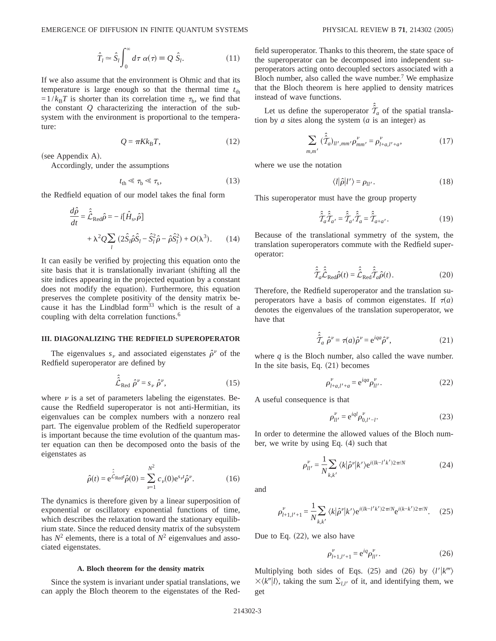$$
\hat{T}_l \simeq \hat{S}_l \int_0^\infty d\tau \; \alpha(\tau) \equiv Q \; \hat{S}_l. \tag{11}
$$

If we also assume that the environment is Ohmic and that its temperature is large enough so that the thermal time  $t_{\text{th}}$  $=1/k_BT$  is shorter than its correlation time  $\tau_b$ , we find that the constant *Q* characterizing the interaction of the subsystem with the environment is proportional to the temperature:

$$
Q = \pi K k_{\text{B}} T,\tag{12}
$$

(see Appendix A).

Accordingly, under the assumptions

$$
t_{\rm th} \ll \tau_{\rm b} \ll \tau_{\rm s},\tag{13}
$$

the Redfield equation of our model takes the final form

$$
\frac{d\hat{\rho}}{dt} = \hat{\hat{\mathcal{L}}}_{\text{Red}} \hat{\rho} = -i[\hat{H}_{\text{s}}, \hat{\rho}] \n+ \lambda^2 Q \sum_{l} (2\hat{S}_l \hat{\rho} \hat{S}_l - \hat{S}_l^2 \hat{\rho} - \hat{\rho} \hat{S}_l^2) + O(\lambda^3).
$$
\n(14)

It can easily be verified by projecting this equation onto the site basis that it is translationally invariant (shifting all the site indices appearing in the projected equation by a constant does not modify the equation). Furthermore, this equation preserves the complete positivity of the density matrix because it has the Lindblad form<sup>33</sup> which is the result of a coupling with delta correlation functions.6

## **III. DIAGONALIZING THE REDFIELD SUPEROPERATOR**

The eigenvalues  $s<sub>v</sub>$  and associated eigenstates  $\hat{\rho}^v$  of the Redfield superoperator are defined by

$$
\hat{\hat{\mathcal{L}}}_{\text{Red}} \; \hat{\rho}^{\nu} = s_{\nu} \; \hat{\rho}^{\nu},\tag{15}
$$

where  $\nu$  is a set of parameters labeling the eigenstates. Because the Redfield superoperator is not anti-Hermitian, its eigenvalues can be complex numbers with a nonzero real part. The eigenvalue problem of the Redfield superoperator is important because the time evolution of the quantum master equation can then be decomposed onto the basis of the eigenstates as

$$
\hat{\rho}(t) = e^{\hat{\hat{\mathcal{L}}}_{\text{Red}^t}} \hat{\rho}(0) = \sum_{\nu=1}^{N^2} c_{\nu}(0) e^{s_{\nu}t} \hat{\rho}^{\nu}.
$$
 (16)

The dynamics is therefore given by a linear superposition of exponential or oscillatory exponential functions of time, which describes the relaxation toward the stationary equilibrium state. Since the reduced density matrix of the subsystem has  $N^2$  elements, there is a total of  $N^2$  eigenvalues and associated eigenstates.

#### **A. Bloch theorem for the density matrix**

Since the system is invariant under spatial translations, we can apply the Bloch theorem to the eigenstates of the Redfield superoperator. Thanks to this theorem, the state space of the superoperator can be decomposed into independent superoperators acting onto decoupled sectors associated with a Bloch number, also called the wave number.<sup>7</sup> We emphasize that the Bloch theorem is here applied to density matrices instead of wave functions.

Let us define the superoperator  $\hat{f}_a$  of the spatial translation by *a* sites along the system  $(a$  is an integer) as

$$
\sum_{m,m'} (\hat{\hat{\mathcal{T}}}_a)_{ll',mm'} \rho_{mm'}^{\nu} = \rho_{l+a,l'+a}^{\nu}, \qquad (17)
$$

where we use the notation

$$
\langle l|\hat{\rho}|l'\rangle = \rho_{ll'}.\tag{18}
$$

This superoperator must have the group property

$$
\hat{\hat{\mathcal{T}}}_a \hat{\hat{\mathcal{T}}}_{a'} = \hat{\hat{\mathcal{T}}}_{a'} \hat{\hat{\mathcal{T}}}_a = \hat{\hat{\mathcal{T}}}_{a+a'}.
$$
\n(19)

Because of the translational symmetry of the system, the translation superoperators commute with the Redfield superoperator:

$$
\hat{\hat{\mathcal{T}}}_a \hat{\hat{\mathcal{L}}}_{\text{Red}} \hat{\rho}(t) = \hat{\hat{\mathcal{L}}}_{\text{Red}} \hat{\hat{\mathcal{T}}}_a \hat{\rho}(t). \tag{20}
$$

Therefore, the Redfield superoperator and the translation superoperators have a basis of common eigenstates. If  $\tau(a)$ denotes the eigenvalues of the translation superoperator, we have that

$$
\hat{\hat{\mathcal{T}}}_a \hat{\rho}^\nu = \tau(a)\hat{\rho}^\nu = e^{iqa}\hat{\rho}^\nu,\tag{21}
$$

where  $q$  is the Bloch number, also called the wave number. In the site basis, Eq.  $(21)$  becomes

$$
\rho_{l+a,l'+a}^{\nu} = e^{iqa} \rho_{ll'}^{\nu}.
$$
 (22)

A useful consequence is that

$$
\rho_{ll'}^{\nu} = e^{iql} \rho_{0,l'-l}^{\nu}.
$$
 (23)

In order to determine the allowed values of the Bloch number, we write by using Eq.  $(4)$  such that

$$
\rho_{ll'}^{\nu} = \frac{1}{N} \sum_{k,k'} \langle k | \hat{\rho}^{\nu} | k' \rangle e^{i(lk - l'k')2\pi/N}
$$
 (24)

and

$$
\rho_{l+1,l'+1}^{\nu} = \frac{1}{N} \sum_{k,k'} \langle k | \hat{\rho}^{\nu} | k' \rangle e^{i(lk-l'k')2\pi/N} e^{i(k-k')2\pi/N}.
$$
 (25)

Due to Eq.  $(22)$ , we also have

$$
\rho_{l+1,l'+1}^{\nu} = e^{iq} \rho_{ll'}^{\nu}.
$$
 (26)

Multiplying both sides of Eqs. (25) and (26) by  $\langle l'|k'''\rangle$  $\times \langle k''|l\rangle$ , taking the sum  $\Sigma_{l,l'}$  of it, and identifying them, we get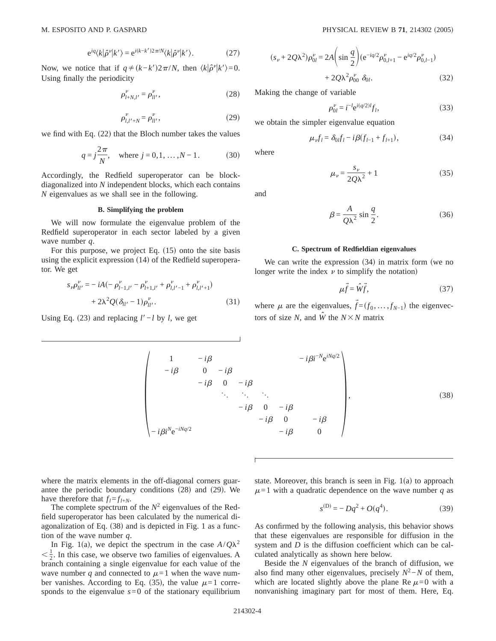$$
e^{iq}\langle k|\hat{\rho}^{\nu}|k'\rangle = e^{i(k-k')2\pi/N}\langle k|\hat{\rho}^{\nu}|k'\rangle.
$$
 (27)

Now, we notice that if  $q \neq (k-k')2\pi/N$ , then  $\langle k|\hat{\rho}^{\nu}|k'\rangle = 0$ . Using finally the periodicity

$$
\rho_{l+N,l'}^{\nu} = \rho_{ll'}^{\nu},\tag{28}
$$

$$
\rho_{l,l'+N}^{\nu} = \rho_{ll'}^{\nu},\tag{29}
$$

we find with Eq.  $(22)$  that the Bloch number takes the values

$$
q = j\frac{2\pi}{N}
$$
, where  $j = 0, 1, ..., N - 1$ . (30)

Accordingly, the Redfield superoperator can be blockdiagonalized into *N* independent blocks, which each contains *N* eigenvalues as we shall see in the following.

## **B. Simplifying the problem**

We will now formulate the eigenvalue problem of the Redfield superoperator in each sector labeled by a given wave number *q*.

For this purpose, we project Eq.  $(15)$  onto the site basis using the explicit expression  $(14)$  of the Redfield superoperator. We get

$$
s_{\nu}\rho_{ll'}^{\nu} = -iA(-\rho_{l-1,l'}^{\nu} - \rho_{l+1,l'}^{\nu} + \rho_{l,l'-1}^{\nu} + \rho_{l,l'+1}^{\nu})
$$
  
+ 2\lambda^2 Q(\delta\_{ll'} - 1)\rho\_{ll'}^{\nu}. (31)

Using Eq. (23) and replacing  $l'$ −*l* by *l*, we get

$$
(s_{\nu} + 2Q\lambda^2)\rho_{0l}^{\nu} = 2A\left(\sin\frac{q}{2}\right)(e^{-iq/2}\rho_{0,l+1}^{\nu} - e^{iq/2}\rho_{0,l-1}^{\nu})
$$

$$
+ 2Q\lambda^2\rho_{00}^{\nu}\delta_{0l}.
$$
(32)

Making the change of variable

$$
\rho_{0l}^{\nu} = i^{-l} e^{i(q/2)l} f_l,
$$
\n(33)

we obtain the simpler eigenvalue equation

$$
\mu_{\nu} f_l = \delta_0 f_l - i\beta (f_{l-1} + f_{l+1}), \qquad (34)
$$

where

and

$$
\beta = \frac{A}{Q\lambda^2} \sin\frac{q}{2}.\tag{36}
$$

 $\mu_v = \frac{s_v}{2Q\lambda^2} + 1$  (35)

#### **C. Spectrum of Redfieldian eigenvalues**

We can write the expression  $(34)$  in matrix form (we no longer write the index  $\nu$  to simplify the notation)

$$
\mu \vec{f} = \hat{W}\vec{f},\tag{37}
$$

where  $\mu$  are the eigenvalues,  $\vec{f} = (f_0, \ldots, f_{N-1})$  the eigenvectors of size *N*, and  $\hat{W}$  the  $N \times N$  matrix

$$
\begin{pmatrix}\n1 & -i\beta & -i\beta i^{-N}e^{iNq/2} \\
-i\beta & 0 & -i\beta \\
-i\beta & 0 & -i\beta \\
\vdots & \vdots & \ddots \\
-i\beta i^{N}e^{-iNq/2} & -i\beta & 0 \\
-i\beta i^{N}e^{-iNq/2} & -i\beta & 0\n\end{pmatrix}
$$
\n(38)

where the matrix elements in the off-diagonal corners guarantee the periodic boundary conditions  $(28)$  and  $(29)$ . We have therefore that  $f_l = f_{l+N}$ .

The complete spectrum of the  $N^2$  eigenvalues of the Redfield superoperator has been calculated by the numerical diagonalization of Eq.  $(38)$  and is depicted in Fig. 1 as a function of the wave number *q*.

In Fig. 1(a), we depict the spectrum in the case  $A/Q\lambda^2$  $\langle \frac{1}{2} \rangle$ . In this case, we observe two families of eigenvalues. A branch containing a single eigenvalue for each value of the wave number q and connected to  $\mu$ =1 when the wave number vanishes. According to Eq. (35), the value  $\mu=1$  corresponds to the eigenvalue  $s=0$  of the stationary equilibrium state. Moreover, this branch is seen in Fig.  $1(a)$  to approach  $\mu$ =1 with a quadratic dependence on the wave number *q* as

$$
s^{(D)} = -Dq^2 + O(q^4). \tag{39}
$$

As confirmed by the following analysis, this behavior shows that these eigenvalues are responsible for diffusion in the system and *D* is the diffusion coefficient which can be calculated analytically as shown here below.

Beside the *N* eigenvalues of the branch of diffusion, we also find many other eigenvalues, precisely  $N^2$ −*N* of them, which are located slightly above the plane Re  $\mu$ =0 with a nonvanishing imaginary part for most of them. Here, Eq.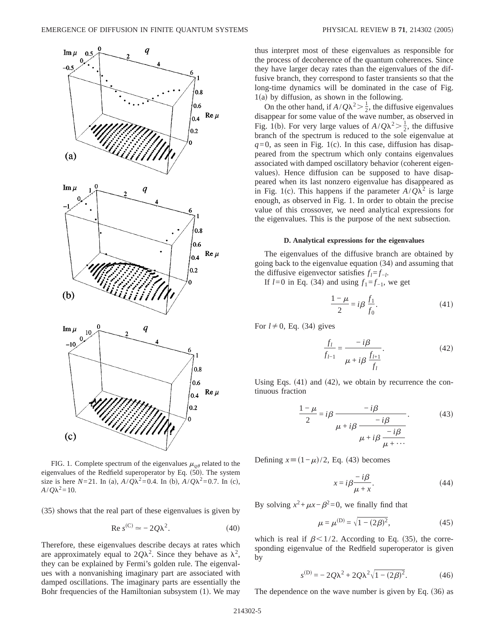

FIG. 1. Complete spectrum of the eigenvalues  $\mu_{q\theta}$  related to the eigenvalues of the Redfield superoperator by Eq.  $(50)$ . The system size is here *N*=21. In (a),  $A/Q\lambda^2 = 0.4$ . In (b),  $A/Q\lambda^2 = 0.7$ . In (c),  $A/Q\lambda^2 = 10$ .

 $(35)$  shows that the real part of these eigenvalues is given by

$$
\text{Re } s^{(C)} \simeq -2Q\lambda^2. \tag{40}
$$

Therefore, these eigenvalues describe decays at rates which are approximately equal to  $2Q\lambda^2$ . Since they behave as  $\lambda^2$ , they can be explained by Fermi's golden rule. The eigenvalues with a nonvanishing imaginary part are associated with damped oscillations. The imaginary parts are essentially the Bohr frequencies of the Hamiltonian subsystem  $(1)$ . We may thus interpret most of these eigenvalues as responsible for the process of decoherence of the quantum coherences. Since they have larger decay rates than the eigenvalues of the diffusive branch, they correspond to faster transients so that the long-time dynamics will be dominated in the case of Fig.  $1(a)$  by diffusion, as shown in the following.

On the other hand, if  $A/Q\lambda^2 > \frac{1}{2}$ , the diffusive eigenvalues disappear for some value of the wave number, as observed in Fig. 1(b). For very large values of  $A/Q\lambda^2 > \frac{1}{2}$ , the diffusive branch of the spectrum is reduced to the sole eigenvalue at  $q=0$ , as seen in Fig. 1(c). In this case, diffusion has disappeared from the spectrum which only contains eigenvalues associated with damped oscillatory behavior (coherent eigenvalues). Hence diffusion can be supposed to have disappeared when its last nonzero eigenvalue has disappeared as in Fig. 1(c). This happens if the parameter  $A/Q\lambda^2$  is large enough, as observed in Fig. 1. In order to obtain the precise value of this crossover, we need analytical expressions for the eigenvalues. This is the purpose of the next subsection.

#### **D. Analytical expressions for the eigenvalues**

The eigenvalues of the diffusive branch are obtained by going back to the eigenvalue equation  $(34)$  and assuming that the diffusive eigenvector satisfies  $f_l = f_{-l}$ .

If  $l=0$  in Eq. (34) and using  $f_1 = f_{-1}$ , we get

$$
\frac{1-\mu}{2} = i\beta \frac{f_1}{f_0}.\tag{41}
$$

For  $l \neq 0$ , Eq. (34) gives

$$
\frac{f_l}{f_{l-1}} = \frac{-i\beta}{\mu + i\beta \frac{f_{l+1}}{f_l}}.\tag{42}
$$

Using Eqs.  $(41)$  and  $(42)$ , we obtain by recurrence the continuous fraction

$$
\frac{1-\mu}{2} = i\beta \frac{-i\beta}{\mu + i\beta \frac{-i\beta}{\mu + i\beta \frac{-i\beta}{\mu + \cdots}}}.
$$
(43)

Defining  $x \equiv (1 - \mu)/2$ , Eq. (43) becomes

$$
x = i\beta \frac{-i\beta}{\mu + x}.
$$
 (44)

By solving  $x^2 + \mu x - \beta^2 = 0$ , we finally find that

$$
\mu = \mu^{(D)} = \sqrt{1 - (2\beta)^2},\tag{45}
$$

which is real if  $\beta$ <1/2. According to Eq. (35), the corresponding eigenvalue of the Redfield superoperator is given by

$$
s^{(D)} = -2Q\lambda^2 + 2Q\lambda^2\sqrt{1 - (2\beta)^2}.
$$
 (46)

The dependence on the wave number is given by Eq.  $(36)$  as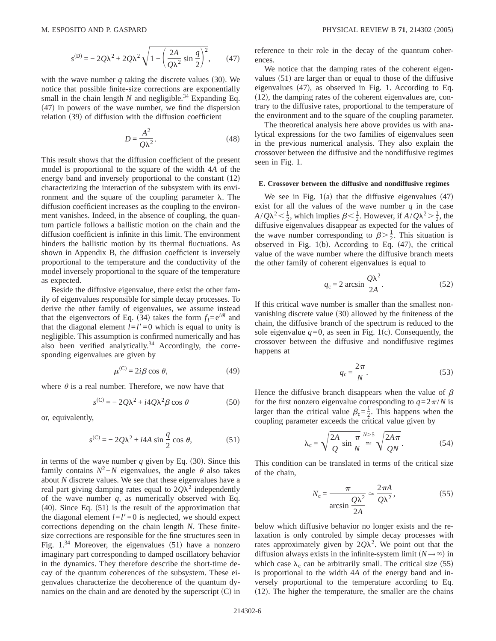$$
s^{(D)} = -2Q\lambda^2 + 2Q\lambda^2\sqrt{1 - \left(\frac{2A}{Q\lambda^2}\sin\frac{q}{2}\right)^2},
$$
 (47)

with the wave number  $q$  taking the discrete values (30). We notice that possible finite-size corrections are exponentially small in the chain length  $N$  and negligible.<sup>34</sup> Expanding Eq.  $(47)$  in powers of the wave number, we find the dispersion relation  $(39)$  of diffusion with the diffusion coefficient

$$
D = \frac{A^2}{Q\lambda^2}.\tag{48}
$$

This result shows that the diffusion coefficient of the present model is proportional to the square of the width 4*A* of the energy band and inversely proportional to the constant  $(12)$ characterizing the interaction of the subsystem with its environment and the square of the coupling parameter  $\lambda$ . The diffusion coefficient increases as the coupling to the environment vanishes. Indeed, in the absence of coupling, the quantum particle follows a ballistic motion on the chain and the diffusion coefficient is infinite in this limit. The environment hinders the ballistic motion by its thermal fluctuations. As shown in Appendix B, the diffusion coefficient is inversely proportional to the temperature and the conductivity of the model inversely proportional to the square of the temperature as expected.

Beside the diffusive eigenvalue, there exist the other family of eigenvalues responsible for simple decay processes. To derive the other family of eigenvalues, we assume instead that the eigenvectors of Eq. (34) takes the form  $f_l = e^{i\theta l}$  and that the diagonal element  $l=l'=0$  which is equal to unity is negligible. This assumption is confirmed numerically and has also been verified analytically.<sup>34</sup> Accordingly, the corresponding eigenvalues are given by

$$
\mu^{(C)} = 2i\beta \cos \theta, \qquad (49)
$$

where  $\theta$  is a real number. Therefore, we now have that

$$
s^{(C)} = -2Q\lambda^2 + i4Q\lambda^2 \beta \cos \theta \tag{50}
$$

or, equivalently,

$$
s^{(C)} = -2Q\lambda^2 + i4A \sin\frac{q}{2} \cos\theta, \qquad (51)
$$

in terms of the wave number  $q$  given by Eq. (30). Since this family contains  $N^2$ −*N* eigenvalues, the angle  $\theta$  also takes about *N* discrete values. We see that these eigenvalues have a real part giving damping rates equal to  $2Q\lambda^2$  independently of the wave number  $q$ , as numerically observed with Eq.  $(40)$ . Since Eq.  $(51)$  is the result of the approximation that the diagonal element  $l=l'=0$  is neglected, we should expect corrections depending on the chain length *N*. These finitesize corrections are responsible for the fine structures seen in Fig.  $1^{34}$  Moreover, the eigenvalues (51) have a nonzero imaginary part corresponding to damped oscillatory behavior in the dynamics. They therefore describe the short-time decay of the quantum coherences of the subsystem. These eigenvalues characterize the decoherence of the quantum dynamics on the chain and are denoted by the superscript  $(C)$  in reference to their role in the decay of the quantum coherences.

We notice that the damping rates of the coherent eigenvalues  $(51)$  are larger than or equal to those of the diffusive eigenvalues  $(47)$ , as observed in Fig. 1. According to Eq.  $(12)$ , the damping rates of the coherent eigenvalues are, contrary to the diffusive rates, proportional to the temperature of the environment and to the square of the coupling parameter.

The theoretical analysis here above provides us with analytical expressions for the two families of eigenvalues seen in the previous numerical analysis. They also explain the crossover between the diffusive and the nondiffusive regimes seen in Fig. 1.

#### **E. Crossover between the diffusive and nondiffusive regimes**

We see in Fig.  $1(a)$  that the diffusive eigenvalues  $(47)$ exist for all the values of the wave number  $q$  in the case  $A/Q\lambda^2 < \frac{1}{2}$ , which implies  $\beta < \frac{1}{2}$ . However, if  $A/Q\lambda^2 > \frac{1}{2}$ , the diffusive eigenvalues disappear as expected for the values of the wave number corresponding to  $\beta > \frac{1}{2}$ . This situation is observed in Fig. 1(b). According to Eq.  $(47)$ , the critical value of the wave number where the diffusive branch meets the other family of coherent eigenvalues is equal to

$$
q_{\rm c} = 2 \arcsin \frac{Q\lambda^2}{2A}.
$$
 (52)

If this critical wave number is smaller than the smallest nonvanishing discrete value  $(30)$  allowed by the finiteness of the chain, the diffusive branch of the spectrum is reduced to the sole eigenvalue  $q=0$ , as seen in Fig. 1(c). Consequently, the crossover between the diffusive and nondiffusive regimes happens at

$$
q_{\rm c} = \frac{2\pi}{N}.\tag{53}
$$

Hence the diffusive branch disappears when the value of  $\beta$ for the first nonzero eigenvalue corresponding to  $q=2\pi/N$  is larger than the critical value  $\beta_c = \frac{1}{2}$ . This happens when the coupling parameter exceeds the critical value given by

$$
\lambda_{\rm c} = \sqrt{\frac{2A}{Q} \sin \frac{\pi}{N}} \stackrel{N>5}{\simeq} \sqrt{\frac{2A\pi}{QN}}.\tag{54}
$$

This condition can be translated in terms of the critical size of the chain,

$$
N_c = \frac{\pi}{\arcsin \frac{Q\lambda^2}{2A}} \approx \frac{2\pi A}{Q\lambda^2},
$$
\n(55)

below which diffusive behavior no longer exists and the relaxation is only controled by simple decay processes with rates approximately given by  $2Q\lambda^2$ . We point out that the diffusion always exists in the infinite-system limit  $(N \rightarrow \infty)$  in which case  $\lambda_c$  can be arbitrarily small. The critical size (55) is proportional to the width 4*A* of the energy band and inversely proportional to the temperature according to Eq.  $(12)$ . The higher the temperature, the smaller are the chains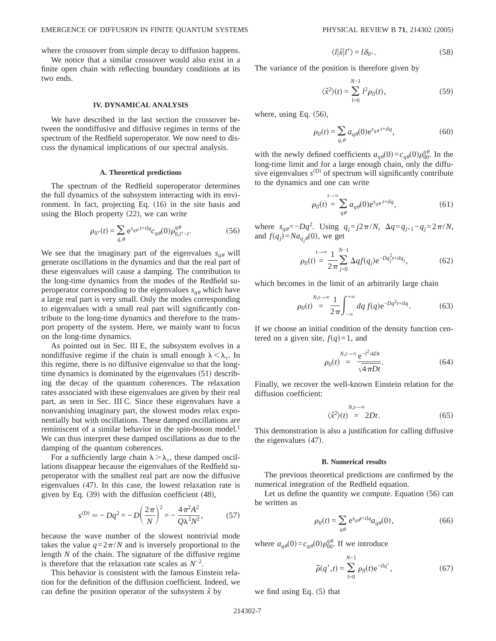where the crossover from simple decay to diffusion happens.

We notice that a similar crossover would also exist in a finite open chain with reflecting boundary conditions at its two ends.

### **IV. DYNAMICAL ANALYSIS**

We have described in the last section the crossover between the nondiffusive and diffusive regimes in terms of the spectrum of the Redfield superoperator. We now need to discuss the dynamical implications of our spectral analysis.

## **A. Theoretical predictions**

The spectrum of the Redfield superoperator determines the full dynamics of the subsystem interacting with its environment. In fact, projecting Eq.  $(16)$  in the site basis and using the Bloch property  $(22)$ , we can write

$$
\rho_{ll'}(t) = \sum_{q,\theta} e^{s_{q\theta} t + ilq} c_{q\theta}(0) \rho_{0,l'-l}^{q\theta}.
$$
 (56)

We see that the imaginary part of the eigenvalues  $s_{q\theta}$  will generate oscillations in the dynamics and that the real part of these eigenvalues will cause a damping. The contribution to the long-time dynamics from the modes of the Redfield superoperator corresponding to the eigenvalues  $s_{a\theta}$  which have a large real part is very small. Only the modes corresponding to eigenvalues with a small real part will significantly contribute to the long-time dynamics and therefore to the transport property of the system. Here, we mainly want to focus on the long-time dynamics.

As pointed out in Sec. III E, the subsystem evolves in a nondiffusive regime if the chain is small enough  $\lambda < \lambda_c$ . In this regime, there is no diffusive eigenvalue so that the longtime dynamics is dominated by the eigenvalues  $(51)$  describing the decay of the quantum coherences. The relaxation rates associated with these eigenvalues are given by their real part, as seen in Sec. III C. Since these eigenvalues have a nonvanishing imaginary part, the slowest modes relax exponentially but with oscillations. These damped oscillations are reminiscent of a similar behavior in the spin-boson model.<sup>1</sup> We can thus interpret these damped oscillations as due to the damping of the quantum coherences.

For a sufficiently large chain  $\lambda > \lambda_c$ , these damped oscillations disappear because the eigenvalues of the Redfield superoperator with the smallest real part are now the diffusive eigenvalues  $(47)$ . In this case, the lowest relaxation rate is given by Eq.  $(39)$  with the diffusion coefficient  $(48)$ ,

$$
s^{(\text{D})} \simeq -Dq^2 = -D\left(\frac{2\pi}{N}\right)^2 = -\frac{4\pi^2 A^2}{Q\lambda^2 N^2},\tag{57}
$$

because the wave number of the slowest nontrivial mode takes the value  $q=2\pi/N$  and is inversely proportional to the length *N* of the chain. The signature of the diffusive regime is therefore that the relaxation rate scales as  $N^{-2}$ .

This behavior is consistent with the famous Einstein relation for the definition of the diffusion coefficient. Indeed, we can define the position operator of the subsystem  $\hat{x}$  by

$$
\langle l|\hat{x}|l'\rangle = l\,\delta_{ll'}.\tag{58}
$$

The variance of the position is therefore given by

$$
\langle \hat{x}^2 \rangle(t) = \sum_{l=0}^{N-1} l^2 \rho_{ll}(t), \tag{59}
$$

where, using Eq.  $(56)$ ,

$$
\rho_{ll}(t) = \sum_{q,\theta} a_{q\theta}(0) e^{s_{q\theta}t + ilq},\tag{60}
$$

with the newly defined coefficients  $a_{q\theta}(0) = c_{q\theta}(0)\rho_{00}^{q\theta}$ . In the long-time limit and for a large enough chain, only the diffusive eigenvalues  $s^{(D)}$  of spectrum will significantly contribute to the dynamics and one can write

$$
\rho_{ll}(t) = \sum_{q\theta}^{t \to \infty} a_q \theta(0) e^{s_{q\theta} t + ilq}, \qquad (61)
$$

 $\mu$  where  $s_{q\theta} = -Dq^2$ . Using  $q_j = j2\pi/N$ ,  $\Delta q = q_{j+1} - q_j = 2\pi/N$ , and  $f(q_j) = Na_{q_j\theta}(0)$ , we get

$$
\rho_{ll}(t) = \frac{1}{2\pi} \sum_{j=0}^{N-1} \Delta q f(q_j) e^{-Dq_j^2 t + ilq_j},
$$
\n(62)

which becomes in the limit of an arbitrarily large chain

$$
\rho_{ll}(t) = \frac{1}{2\pi} \int_{-\infty}^{+\infty} dq f(q) e^{-Dq^2 t + ilq}.
$$
 (63)

If we choose an initial condition of the density function centered on a given site,  $f(q)=1$ , and

$$
\rho_{ll}(t) = \frac{8e^{-t^2/4Dt}}{\sqrt{4\pi Dt}}.\tag{64}
$$

Finally, we recover the well-known Einstein relation for the diffusion coefficient:

$$
\begin{aligned} N, t \to \infty \\ \langle \hat{x}^2 \rangle(t) &= 2Dt. \end{aligned} \tag{65}
$$

This demonstration is also a justification for calling diffusive the eigenvalues  $(47)$ .

#### **B. Numerical results**

The previous theoretical predictions are confirmed by the numerical integration of the Redfield equation.

Let us define the quantity we compute. Equation  $(56)$  can be written as

$$
\rho_{ll}(t) = \sum_{q\theta} e^{s_q \theta^{t+l} q} a_{q\theta}(0),
$$
\n(66)

where  $a_{q\theta}(0) = c_{q\theta}(0)\rho_{00}^{q\theta}$ . If we introduce

$$
\tilde{\rho}(q',t) = \sum_{l=0}^{N-1} \rho_{ll}(t) e^{-ilq'},
$$
\n(67)

we find using Eq.  $(5)$  that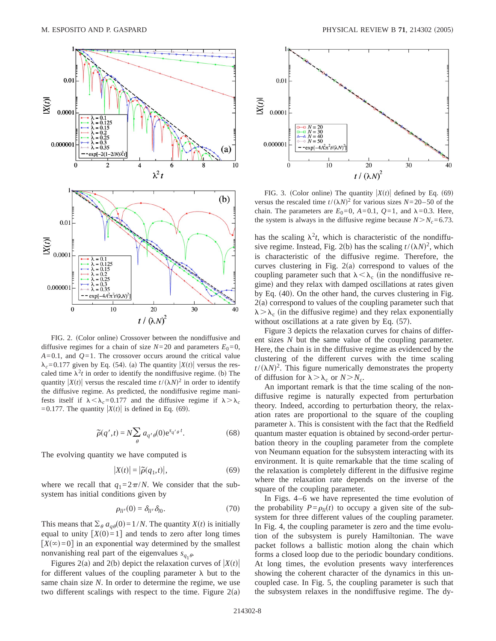

FIG. 2. (Color online) Crossover between the nondiffusive and diffusive regimes for a chain of size  $N=20$  and parameters  $E_0=0$ ,  $A=0.1$ , and  $Q=1$ . The crossover occurs around the critical value  $\lambda_c$ =0.177 given by Eq. (54). (a) The quantity  $|X(t)|$  versus the rescaled time  $\lambda^2 t$  in order to identify the nondiffusive regime. (b) The quantity  $|X(t)|$  versus the rescaled time  $t/(\lambda N)^2$  in order to identify the diffusive regime. As predicted, the nondiffusive regime manifests itself if  $\lambda < \lambda_c = 0.177$  and the diffusive regime if  $\lambda > \lambda_c$ =0.177. The quantity  $|X(t)|$  is defined in Eq. (69).

$$
\tilde{\rho}(q',t) = N \sum_{\theta} a_{q'\theta}(0) e^{s_{q'\theta}t}.
$$
\n(68)

The evolving quantity we have computed is

$$
|X(t)| = |\tilde{\rho}(q_1, t)|,\t(69)
$$

where we recall that  $q_1=2\pi/N$ . We consider that the subsystem has initial conditions given by

$$
\rho_{ll'}(0) = \delta_{ll'}\delta_{l0}.\tag{70}
$$

This means that  $\sum_{\theta} a_{q\theta}(0) = 1/N$ . The quantity *X*(*t*) is initially equal to unity  $[X(0)=1]$  and tends to zero after long times  $[X(\infty)=0]$  in an exponential way determined by the smallest nonvanishing real part of the eigenvalues  $s_{q, \theta}$ .

Figures 2(a) and 2(b) depict the relaxation curves of  $|X(t)|$ for different values of the coupling parameter  $\lambda$  but to the same chain size *N*. In order to determine the regime, we use two different scalings with respect to the time. Figure  $2(a)$ 



FIG. 3. (Color online) The quantity  $|X(t)|$  defined by Eq. (69) versus the rescaled time  $t/(\lambda N)^2$  for various sizes  $N=20-50$  of the chain. The parameters are  $E_0=0$ ,  $A=0.1$ ,  $Q=1$ , and  $\lambda=0.3$ . Here, the system is always in the diffusive regime because  $N>N_c=6.73$ .

has the scaling  $\lambda^2 t$ , which is characteristic of the nondiffusive regime. Instead, Fig. 2(b) has the scaling  $t/(\lambda N)^2$ , which is characteristic of the diffusive regime. Therefore, the curves clustering in Fig.  $2(a)$  correspond to values of the coupling parameter such that  $\lambda < \lambda_c$  (in the nondiffusive regime) and they relax with damped oscillations at rates given by Eq.  $(40)$ . On the other hand, the curves clustering in Fig.  $2(a)$  correspond to values of the coupling parameter such that  $\lambda > \lambda_c$  (in the diffusive regime) and they relax exponentially without oscillations at a rate given by Eq.  $(57)$ .

Figure 3 depicts the relaxation curves for chains of different sizes *N* but the same value of the coupling parameter. Here, the chain is in the diffusive regime as evidenced by the clustering of the different curves with the time scaling  $t/(\lambda N)^2$ . This figure numerically demonstrates the property of diffusion for  $\lambda > \lambda_c$  or  $N > N_c$ .

An important remark is that the time scaling of the nondiffusive regime is naturally expected from perturbation theory. Indeed, according to perturbation theory, the relaxation rates are proportional to the square of the coupling parameter  $\lambda$ . This is consistent with the fact that the Redfield quantum master equation is obtained by second-order perturbation theory in the coupling parameter from the complete von Neumann equation for the subsystem interacting with its environment. It is quite remarkable that the time scaling of the relaxation is completely different in the diffusive regime where the relaxation rate depends on the inverse of the square of the coupling parameter.

In Figs. 4–6 we have represented the time evolution of the probability  $P = \rho_l(t)$  to occupy a given site of the subsystem for three different values of the coupling parameter. In Fig. 4, the coupling parameter is zero and the time evolution of the subsystem is purely Hamiltonian. The wave packet follows a ballistic motion along the chain which forms a closed loop due to the periodic boundary conditions. At long times, the evolution presents wavy interferences showing the coherent character of the dynamics in this uncoupled case. In Fig. 5, the coupling parameter is such that the subsystem relaxes in the nondiffusive regime. The dy-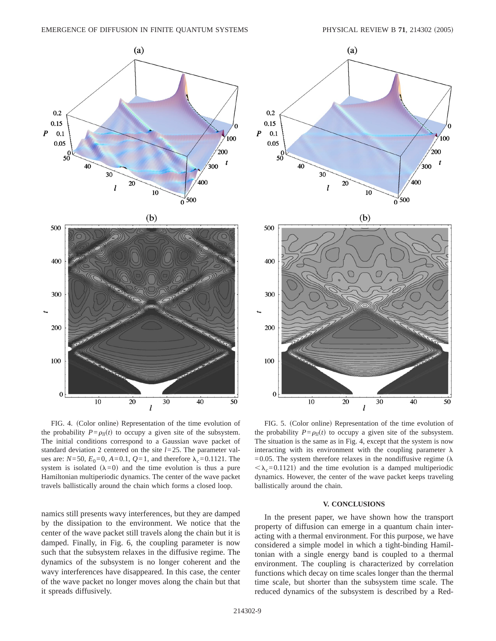



FIG. 4. (Color online) Representation of the time evolution of the probability  $P = \rho_l(t)$  to occupy a given site of the subsystem. The initial conditions correspond to a Gaussian wave packet of standard deviation 2 centered on the site *l*=25. The parameter values are:  $N=50$ ,  $E_0=0$ ,  $A=0.1$ ,  $Q=1$ , and therefore  $\lambda_c=0.1121$ . The system is isolated  $(\lambda=0)$  and the time evolution is thus a pure Hamiltonian multiperiodic dynamics. The center of the wave packet travels ballistically around the chain which forms a closed loop.

namics still presents wavy interferences, but they are damped by the dissipation to the environment. We notice that the center of the wave packet still travels along the chain but it is damped. Finally, in Fig. 6, the coupling parameter is now such that the subsystem relaxes in the diffusive regime. The dynamics of the subsystem is no longer coherent and the wavy interferences have disappeared. In this case, the center of the wave packet no longer moves along the chain but that it spreads diffusively.



FIG. 5. (Color online) Representation of the time evolution of the probability  $P = \rho_l(t)$  to occupy a given site of the subsystem. The situation is the same as in Fig. 4, except that the system is now interacting with its environment with the coupling parameter  $\lambda$ =0.05. The system therefore relaxes in the nondiffusive regime ( $\lambda$ )  $\langle \lambda_c=0.1121\rangle$  and the time evolution is a damped multiperiodic dynamics. However, the center of the wave packet keeps traveling ballistically around the chain.

## **V. CONCLUSIONS**

In the present paper, we have shown how the transport property of diffusion can emerge in a quantum chain interacting with a thermal environment. For this purpose, we have considered a simple model in which a tight-binding Hamiltonian with a single energy band is coupled to a thermal environment. The coupling is characterized by correlation functions which decay on time scales longer than the thermal time scale, but shorter than the subsystem time scale. The reduced dynamics of the subsystem is described by a Red-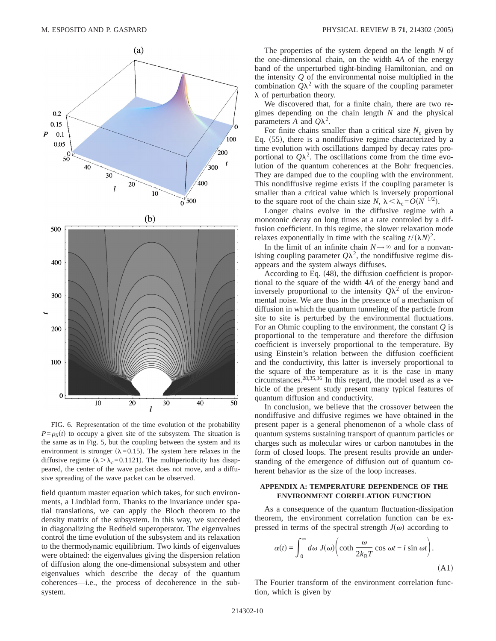

FIG. 6. Representation of the time evolution of the probability  $P = \rho_l(t)$  to occupy a given site of the subsystem. The situation is the same as in Fig. 5, but the coupling between the system and its environment is stronger ( $\lambda$ =0.15). The system here relaxes in the diffusive regime ( $\lambda > \lambda_c = 0.1121$ ). The multiperiodicity has disappeared, the center of the wave packet does not move, and a diffusive spreading of the wave packet can be observed.

field quantum master equation which takes, for such environments, a Lindblad form. Thanks to the invariance under spatial translations, we can apply the Bloch theorem to the density matrix of the subsystem. In this way, we succeeded in diagonalizing the Redfield superoperator. The eigenvalues control the time evolution of the subsystem and its relaxation to the thermodynamic equilibrium. Two kinds of eigenvalues were obtained: the eigenvalues giving the dispersion relation of diffusion along the one-dimensional subsystem and other eigenvalues which describe the decay of the quantum coherences—i.e., the process of decoherence in the subsystem.

The properties of the system depend on the length *N* of the one-dimensional chain, on the width 4*A* of the energy band of the unperturbed tight-binding Hamiltonian, and on the intensity *Q* of the environmental noise multiplied in the combination  $Q\lambda^2$  with the square of the coupling parameter  $\lambda$  of perturbation theory.

We discovered that, for a finite chain, there are two regimes depending on the chain length *N* and the physical parameters  $A$  and  $Q\lambda^2$ .

For finite chains smaller than a critical size  $N_c$  given by Eq.  $(55)$ , there is a nondiffusive regime characterized by a time evolution with oscillations damped by decay rates proportional to  $Q\lambda^2$ . The oscillations come from the time evolution of the quantum coherences at the Bohr frequencies. They are damped due to the coupling with the environment. This nondiffusive regime exists if the coupling parameter is smaller than a critical value which is inversely proportional to the square root of the chain size *N*,  $\lambda < \lambda_c = O(N^{-1/2})$ .

Longer chains evolve in the diffusive regime with a monotonic decay on long times at a rate controled by a diffusion coefficient. In this regime, the slower relaxation mode relaxes exponentially in time with the scaling  $t/(\lambda N)^2$ .

In the limit of an infinite chain  $N \rightarrow \infty$  and for a nonvanishing coupling parameter  $Q\lambda^2$ , the nondiffusive regime disappears and the system always diffuses.

According to Eq.  $(48)$ , the diffusion coefficient is proportional to the square of the width 4*A* of the energy band and inversely proportional to the intensity  $Q\lambda^2$  of the environmental noise. We are thus in the presence of a mechanism of diffusion in which the quantum tunneling of the particle from site to site is perturbed by the environmental fluctuations. For an Ohmic coupling to the environment, the constant *Q* is proportional to the temperature and therefore the diffusion coefficient is inversely proportional to the temperature. By using Einstein's relation between the diffusion coefficient and the conductivity, this latter is inversely proportional to the square of the temperature as it is the case in many circumstances.<sup>28,35,36</sup> In this regard, the model used as a vehicle of the present study present many typical features of quantum diffusion and conductivity.

In conclusion, we believe that the crossover between the nondiffusive and diffusive regimes we have obtained in the present paper is a general phenomenon of a whole class of quantum systems sustaining transport of quantum particles or charges such as molecular wires or carbon nanotubes in the form of closed loops. The present results provide an understanding of the emergence of diffusion out of quantum coherent behavior as the size of the loop increases.

## **APPENDIX A: TEMPERATURE DEPENDENCE OF THE ENVIRONMENT CORRELATION FUNCTION**

As a consequence of the quantum fluctuation-dissipation theorem, the environment correlation function can be expressed in terms of the spectral strength  $J(\omega)$  according to

$$
\alpha(t) = \int_0^\infty d\omega \, J(\omega) \bigg( \coth \frac{\omega}{2k_B T} \cos \omega t - i \sin \omega t \bigg).
$$
\n(A1)

The Fourier transform of the environment correlation function, which is given by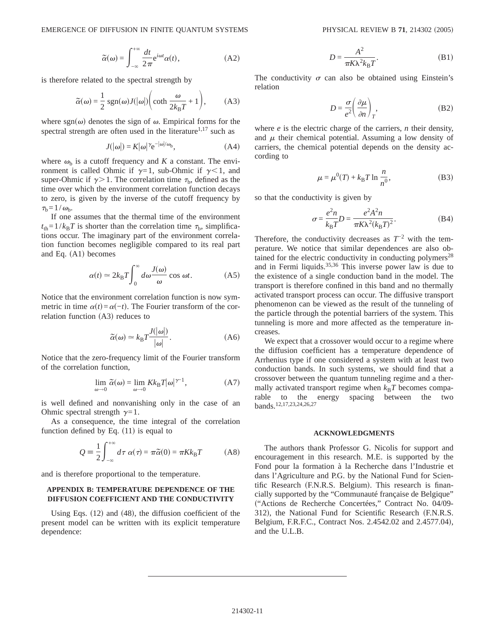$$
\widetilde{\alpha}(\omega) = \int_{-\infty}^{+\infty} \frac{dt}{2\pi} e^{i\omega t} \alpha(t), \tag{A2}
$$

is therefore related to the spectral strength by

$$
\widetilde{\alpha}(\omega) = \frac{1}{2} \operatorname{sgn}(\omega) J(|\omega|) \bigg( \coth \frac{\omega}{2k_{\mathrm{B}}T} + 1 \bigg), \tag{A3}
$$

where sgn $(\omega)$  denotes the sign of  $\omega$ . Empirical forms for the spectral strength are often used in the literature<sup>1,17</sup> such as

$$
J(|\omega|) = K|\omega|^{\gamma} e^{-|\omega|/\omega_b}, \tag{A4}
$$

where  $\omega_{\rm b}$  is a cutoff frequency and *K* a constant. The environment is called Ohmic if  $\gamma=1$ , sub-Ohmic if  $\gamma<1$ , and super-Ohmic if  $\gamma > 1$ . The correlation time  $\tau_{\rm b}$ , defined as the time over which the environment correlation function decays to zero, is given by the inverse of the cutoff frequency by  $\tau_{\rm b}=1/\omega_{\rm b}$ .

If one assumes that the thermal time of the environment  $t_{\text{th}} = 1/k_{\text{B}}T$  is shorter than the correlation time  $\tau_{\text{b}}$ , simplifications occur. The imaginary part of the environment correlation function becomes negligible compared to its real part and Eq.  $(A1)$  becomes

$$
\alpha(t) \simeq 2k_{\rm B}T \int_0^\infty d\omega \frac{J(\omega)}{\omega} \cos \omega t.
$$
 (A5)

Notice that the environment correlation function is now symmetric in time  $\alpha(t) = \alpha(-t)$ . The Fourier transform of the correlation function  $(A3)$  reduces to

$$
\tilde{\alpha}(\omega) \simeq k_{\text{B}} T \frac{J(|\omega|)}{|\omega|}.
$$
\n(A6)

Notice that the zero-frequency limit of the Fourier transform of the correlation function,

$$
\lim_{\omega \to 0} \tilde{\alpha}(\omega) = \lim_{\omega \to 0} K k_{\rm B} T |\omega|^{\gamma - 1}, \tag{A7}
$$

is well defined and nonvanishing only in the case of an Ohmic spectral strength  $\gamma=1$ .

As a consequence, the time integral of the correlation function defined by Eq.  $(11)$  is equal to

$$
Q = \frac{1}{2} \int_{-\infty}^{+\infty} d\tau \ \alpha(\tau) = \pi \tilde{\alpha}(0) = \pi K k_{\text{B}} T \tag{A8}
$$

and is therefore proportional to the temperature.

# **APPENDIX B: TEMPERATURE DEPENDENCE OF THE DIFFUSION COEFFICIENT AND THE CONDUCTIVITY**

Using Eqs.  $(12)$  and  $(48)$ , the diffusion coefficient of the present model can be written with its explicit temperature dependence:

$$
D = \frac{A^2}{\pi K \lambda^2 k_B T}.
$$
 (B1)

The conductivity  $\sigma$  can also be obtained using Einstein's relation

$$
D = \frac{\sigma}{e^2} \left( \frac{\partial \mu}{\partial n} \right)_T, \tag{B2}
$$

where *e* is the electric charge of the carriers, *n* their density, and  $\mu$  their chemical potential. Assuming a low density of carriers, the chemical potential depends on the density according to

$$
\mu = \mu^{0}(T) + k_{B}T \ln \frac{n}{n^{0}},
$$
 (B3)

so that the conductivity is given by

$$
\sigma = \frac{e^2 n}{k_B T} D = \frac{e^2 A^2 n}{\pi K \lambda^2 (k_B T)^2}.
$$
 (B4)

Therefore, the conductivity decreases as  $T^{-2}$  with the temperature. We notice that similar dependences are also obtained for the electric conductivity in conducting polymers<sup>28</sup> and in Fermi liquids.35,36 This inverse power law is due to the existence of a single conduction band in the model. The transport is therefore confined in this band and no thermally activated transport process can occur. The diffusive transport phenomenon can be viewed as the result of the tunneling of the particle through the potential barriers of the system. This tunneling is more and more affected as the temperature increases.

We expect that a crossover would occur to a regime where the diffusion coefficient has a temperature dependence of Arrhenius type if one considered a system with at least two conduction bands. In such systems, we should find that a crossover between the quantum tunneling regime and a thermally activated transport regime when  $k_B T$  becomes comparable to the energy spacing between the two bands.12,17,23,24,26,27

#### **ACKNOWLEDGMENTS**

The authors thank Professor G. Nicolis for support and encouragement in this research. M.E. is supported by the Fond pour la formation à la Recherche dans l'Industrie et dans l'Agriculture and P.G. by the National Fund for Scientific Research (F.N.R.S. Belgium). This research is financially supported by the "Communauté française de Belgique" s"Actions de Recherche Concertées," Contract No. 04/09- 312), the National Fund for Scientific Research (F.N.R.S. Belgium, F.R.F.C., Contract Nos. 2.4542.02 and 2.4577.04), and the U.L.B.